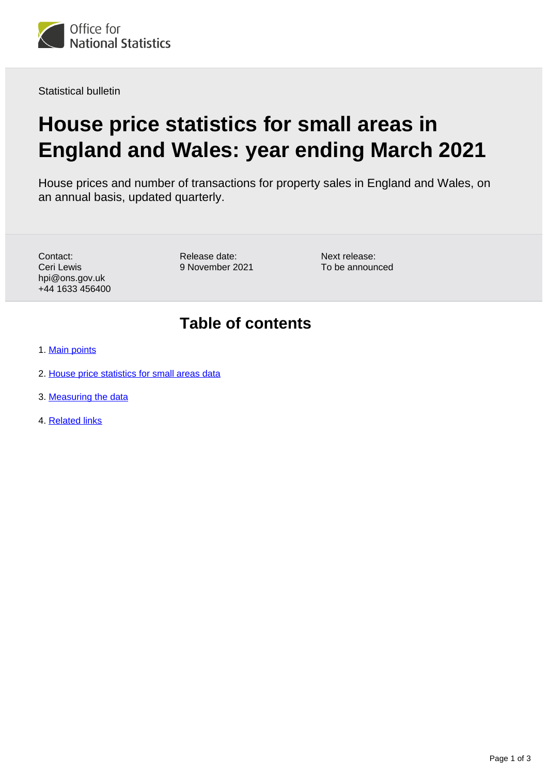

Statistical bulletin

# **House price statistics for small areas in England and Wales: year ending March 2021**

House prices and number of transactions for property sales in England and Wales, on an annual basis, updated quarterly.

Contact: Ceri Lewis hpi@ons.gov.uk +44 1633 456400 Release date: 9 November 2021 Next release: To be announced

# **Table of contents**

- 1. [Main points](#page-1-0)
- 2. [House price statistics for small areas data](#page-1-1)
- 3. [Measuring the data](#page-1-2)
- 4. [Related links](#page-2-0)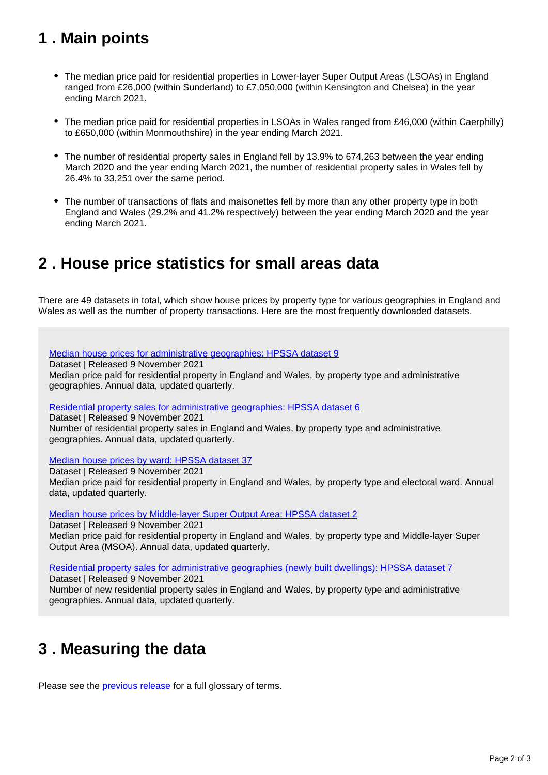# <span id="page-1-0"></span>**1 . Main points**

- The median price paid for residential properties in Lower-layer Super Output Areas (LSOAs) in England ranged from £26,000 (within Sunderland) to £7,050,000 (within Kensington and Chelsea) in the year ending March 2021.
- The median price paid for residential properties in LSOAs in Wales ranged from £46,000 (within Caerphilly) to £650,000 (within Monmouthshire) in the year ending March 2021.
- The number of residential property sales in England fell by 13.9% to 674,263 between the year ending March 2020 and the year ending March 2021, the number of residential property sales in Wales fell by 26.4% to 33,251 over the same period.
- The number of transactions of flats and maisonettes fell by more than any other property type in both England and Wales (29.2% and 41.2% respectively) between the year ending March 2020 and the year ending March 2021.

## <span id="page-1-1"></span>**2 . House price statistics for small areas data**

There are 49 datasets in total, which show house prices by property type for various geographies in England and Wales as well as the number of property transactions. Here are the most frequently downloaded datasets.

[Median house prices for administrative geographies: HPSSA dataset 9](https://www.ons.gov.uk/peoplepopulationandcommunity/housing/datasets/medianhousepricefornationalandsubnationalgeographiesquarterlyrollingyearhpssadataset09) Dataset | Released 9 November 2021 Median price paid for residential property in England and Wales, by property type and administrative geographies. Annual data, updated quarterly. [Residential property sales for administrative geographies: HPSSA dataset 6](https://www.ons.gov.uk/peoplepopulationandcommunity/housing/datasets/numberofresidentialpropertysalesfornationalandsubnationalgeographiesquarterlyrollingyearhpssadataset06) Dataset | Released 9 November 2021 Number of residential property sales in England and Wales, by property type and administrative

[Median house prices by ward: HPSSA dataset 37](https://www.ons.gov.uk/peoplepopulationandcommunity/housing/datasets/medianpricepaidbywardhpssadataset37)

geographies. Annual data, updated quarterly.

Dataset | Released 9 November 2021 Median price paid for residential property in England and Wales, by property type and electoral ward. Annual data, updated quarterly.

[Median house prices by Middle-layer Super Output Area: HPSSA dataset 2](https://www.ons.gov.uk/peoplepopulationandcommunity/housing/datasets/hpssadataset2medianhousepricebymsoaquarterlyrollingyear)

Dataset | Released 9 November 2021

Median price paid for residential property in England and Wales, by property type and Middle-layer Super Output Area (MSOA). Annual data, updated quarterly.

[Residential property sales for administrative geographies \(newly built dwellings\): HPSSA dataset 7](https://www.ons.gov.uk/peoplepopulationandcommunity/housing/datasets/numberofresidentialpropertysalesfornationalandsubnationalgeographiesnewlybuiltdwellingsquarterlyrollingyearhpssadataset07)

Dataset | Released 9 November 2021

Number of new residential property sales in England and Wales, by property type and administrative geographies. Annual data, updated quarterly.

# <span id="page-1-2"></span>**3 . Measuring the data**

Please see the **previous release** for a full glossary of terms.